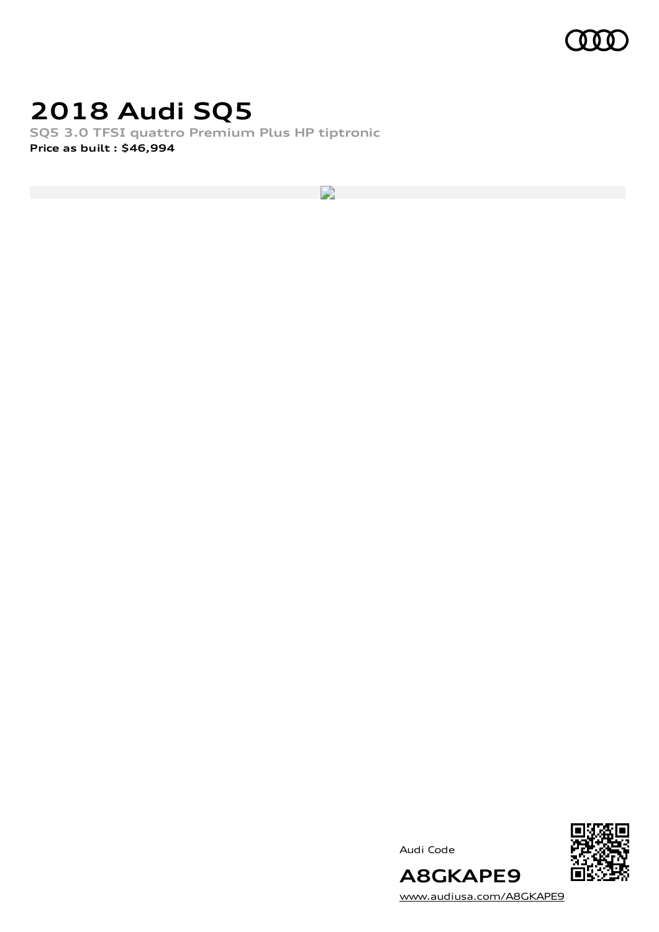

## **2018 Audi SQ5**

**SQ5 3.0 TFSI quattro Premium Plus HP tiptronic Price as built [:](#page-10-0) \$46,994**

 $\overline{\phantom{a}}$ 

Audi Code



[www.audiusa.com/A8GKAPE9](https://www.audiusa.com/A8GKAPE9)

**A8GKAPE9**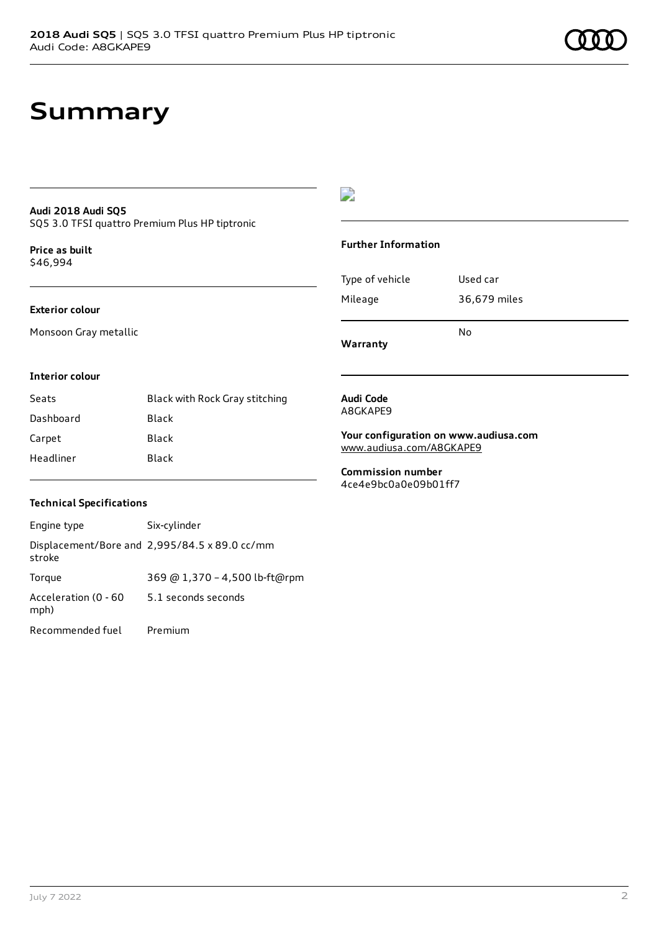## **Summary**

### **Audi 2018 Audi SQ5**

SQ5 3.0 TFSI quattro Premium Plus HP tiptronic

**Price as buil[t](#page-10-0)** \$46,994

#### **Exterior colour**

Monsoon Gray metallic

### $\overline{\phantom{a}}$

### **Further Information**

|                 | N٥           |
|-----------------|--------------|
| Mileage         | 36,679 miles |
| Type of vehicle | Used car     |

**Warranty**

### **Interior colour**

| Seats     | Black with Rock Gray stitching |
|-----------|--------------------------------|
| Dashboard | Black                          |
| Carpet    | Black                          |
| Headliner | Black                          |

#### **Audi Code** A8GKAPE9

**Your configuration on www.audiusa.com** [www.audiusa.com/A8GKAPE9](https://www.audiusa.com/A8GKAPE9)

**Commission number** 4ce4e9bc0a0e09b01ff7

### **Technical Specifications**

| Engine type                  | Six-cylinder                                  |
|------------------------------|-----------------------------------------------|
| stroke                       | Displacement/Bore and 2,995/84.5 x 89.0 cc/mm |
| Torque                       | 369 @ 1,370 - 4,500 lb-ft@rpm                 |
| Acceleration (0 - 60<br>mph) | 5.1 seconds seconds                           |
| Recommended fuel             | Premium                                       |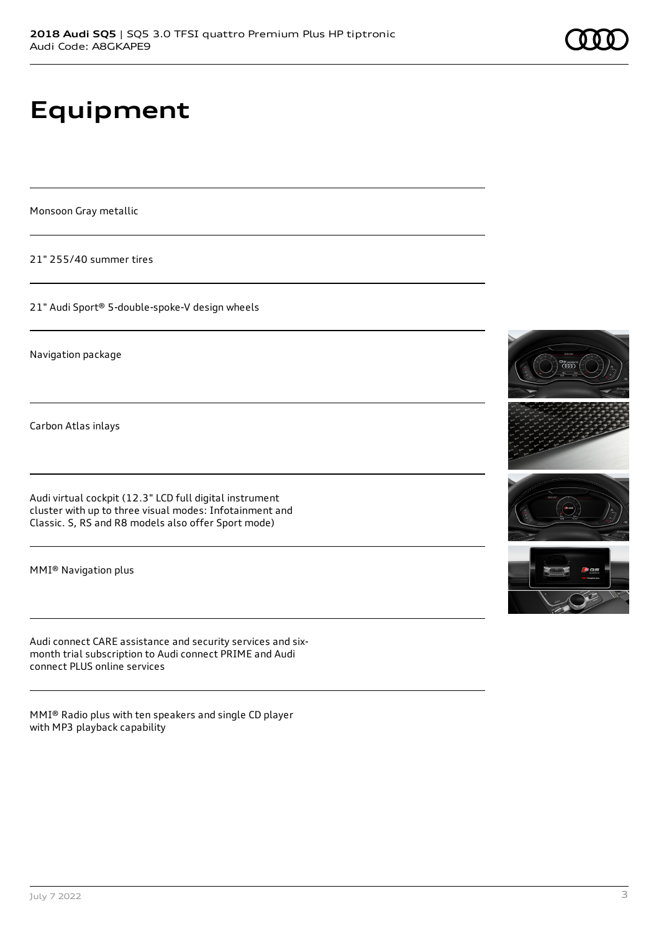# **Equipment**

Monsoon Gray metallic

21" 255/40 summer tires

21" Audi Sport® 5-double-spoke-V design wheels

Navigation package

Carbon Atlas inlays

Audi virtual cockpit (12.3" LCD full digital instrument cluster with up to three visual modes: Infotainment and Classic. S, RS and R8 models also offer Sport mode)

MMI® Navigation plus

Audi connect CARE assistance and security services and sixmonth trial subscription to Audi connect PRIME and Audi connect PLUS online services

MMI® Radio plus with ten speakers and single CD player with MP3 playback capability



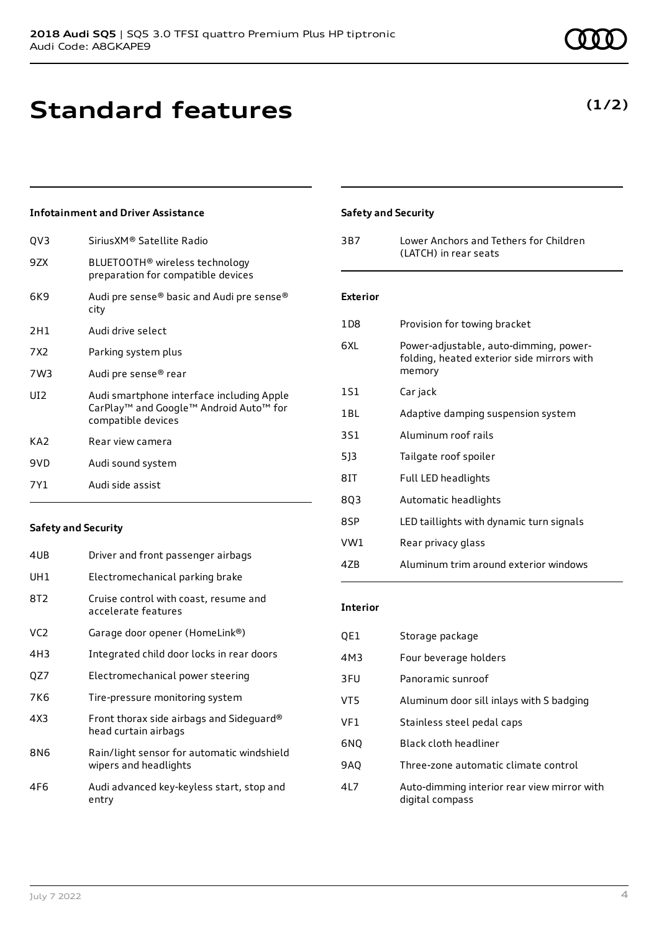**Standard features**

## **Infotainment and Driver Assistance**

| OV3             | SiriusXM® Satellite Radio                                                                                 |
|-----------------|-----------------------------------------------------------------------------------------------------------|
| 9ZX             | BLUETOOTH <sup>®</sup> wireless technology<br>preparation for compatible devices                          |
| 6K9             | Audi pre sense® basic and Audi pre sense®<br>city                                                         |
| 2H1             | Audi drive select                                                                                         |
| 7X2             | Parking system plus                                                                                       |
| 7W3             | Audi pre sense® rear                                                                                      |
| UI2             | Audi smartphone interface including Apple<br>CarPlay™ and Google™ Android Auto™ for<br>compatible devices |
| KA <sub>2</sub> | Rear view camera                                                                                          |
| 9VD             | Audi sound system                                                                                         |
| 7Y1             | Audi side assist                                                                                          |
|                 |                                                                                                           |

### **Safety and Security**

| 4UB             | Driver and front passenger airbags                                  |
|-----------------|---------------------------------------------------------------------|
| UH1             | Electromechanical parking brake                                     |
| 8T2             | Cruise control with coast, resume and<br>accelerate features        |
| VC <sub>2</sub> | Garage door opener (HomeLink®)                                      |
| 4H3             | Integrated child door locks in rear doors                           |
| QZ7             | Electromechanical power steering                                    |
| 7K6             | Tire-pressure monitoring system                                     |
| 4X3             | Front thorax side airbags and Sideguard®<br>head curtain airbags    |
| 8N6             | Rain/light sensor for automatic windshield<br>wipers and headlights |
| 4F6             | Audi advanced key-keyless start, stop and<br>entry                  |

## **Safety and Security**

| 3B7             | Lower Anchors and Tethers for Children<br>(LATCH) in rear seats                                |
|-----------------|------------------------------------------------------------------------------------------------|
| <b>Exterior</b> |                                                                                                |
| 1D8             | Provision for towing bracket                                                                   |
| 6XL             | Power-adjustable, auto-dimming, power-<br>folding, heated exterior side mirrors with<br>memory |
| 1S1             | Car jack                                                                                       |
| 1 B L           | Adaptive damping suspension system                                                             |
| 3S1             | Aluminum roof rails                                                                            |
| 5]3             | Tailgate roof spoiler                                                                          |
| 8IT             | Full LED headlights                                                                            |
| 8Q3             | Automatic headlights                                                                           |
| 8SP             | LED taillights with dynamic turn signals                                                       |
| VW1             | Rear privacy glass                                                                             |
| 4ZB             | Aluminum trim around exterior windows                                                          |

#### **Interior**

| QE1 | Storage package                                                |
|-----|----------------------------------------------------------------|
| 4M3 | Four beverage holders                                          |
| 3FU | Panoramic sunroof                                              |
| VT5 | Aluminum door sill inlays with S badging                       |
| VF1 | Stainless steel pedal caps                                     |
| 6NQ | <b>Black cloth headliner</b>                                   |
| 9A0 | Three-zone automatic climate control                           |
| 4L7 | Auto-dimming interior rear view mirror with<br>digital compass |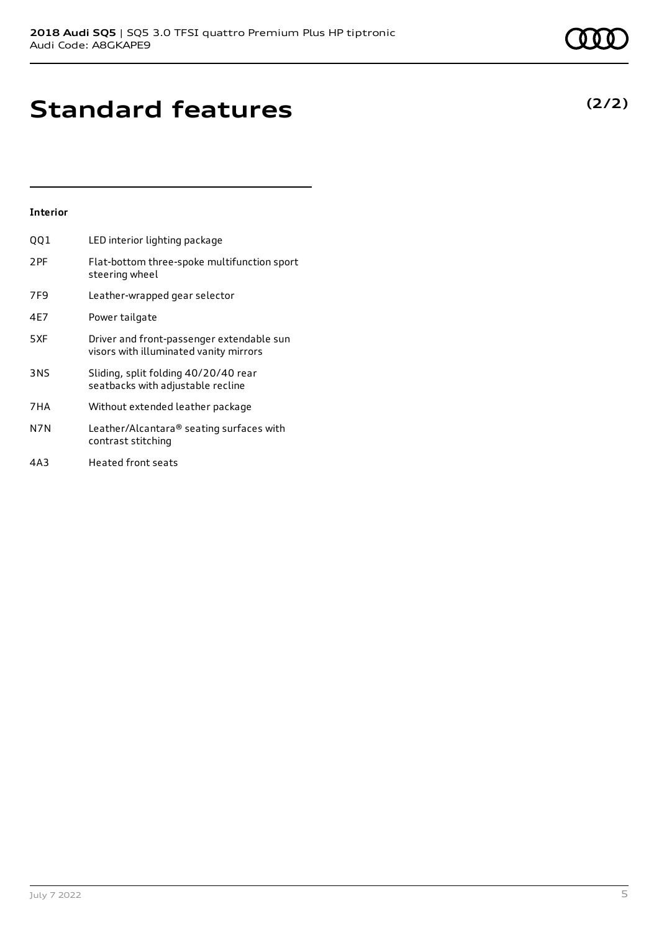# **Standard features**

## **Interior**

| QQ 1            | LED interior lighting package                                                       |
|-----------------|-------------------------------------------------------------------------------------|
| 2 <sub>PF</sub> | Flat-bottom three-spoke multifunction sport<br>steering wheel                       |
| 7F9             | Leather-wrapped gear selector                                                       |
| 4E7             | Power tailgate                                                                      |
| 5XF             | Driver and front-passenger extendable sun<br>visors with illuminated vanity mirrors |
| 3NS             | Sliding, split folding 40/20/40 rear<br>seatbacks with adjustable recline           |
| 7HA             | Without extended leather package                                                    |
| N7N             | Leather/Alcantara® seating surfaces with<br>contrast stitching                      |
| 4A3             | <b>Heated front seats</b>                                                           |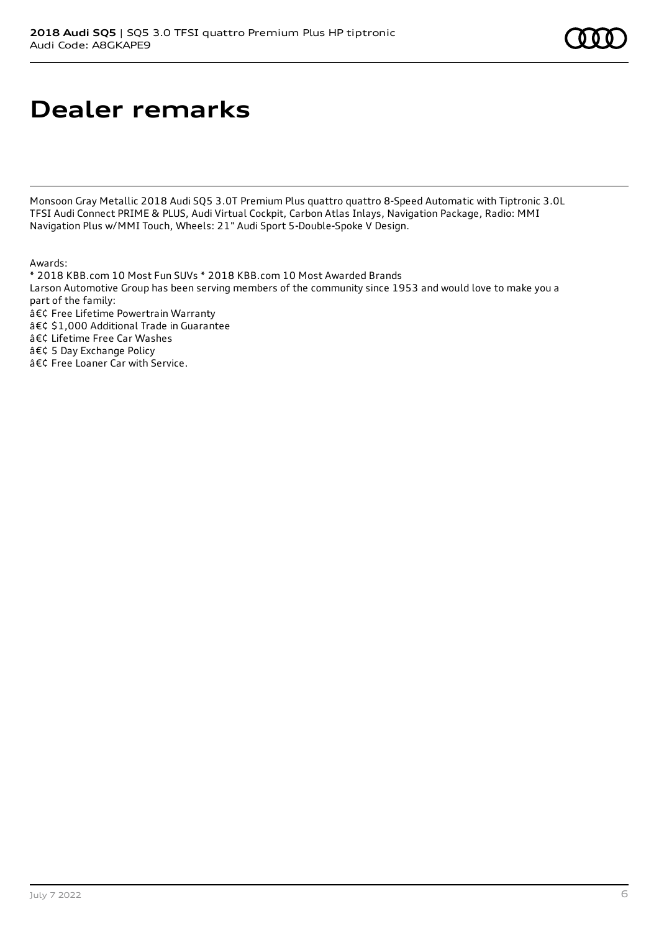# **Dealer remarks**

Monsoon Gray Metallic 2018 Audi SQ5 3.0T Premium Plus quattro quattro 8-Speed Automatic with Tiptronic 3.0L TFSI Audi Connect PRIME & PLUS, Audi Virtual Cockpit, Carbon Atlas Inlays, Navigation Package, Radio: MMI Navigation Plus w/MMI Touch, Wheels: 21" Audi Sport 5-Double-Spoke V Design.

Awards:

\* 2018 KBB.com 10 Most Fun SUVs \* 2018 KBB.com 10 Most Awarded Brands Larson Automotive Group has been serving members of the community since 1953 and would love to make you a part of the family:  $a \in \mathcal{C}$  Free Lifetime Powertrain Warranty • \$1,000 Additional Trade in Guarantee • Lifetime Free Car Washes • 5 Day Exchange Policy • Free Loaner Car with Service.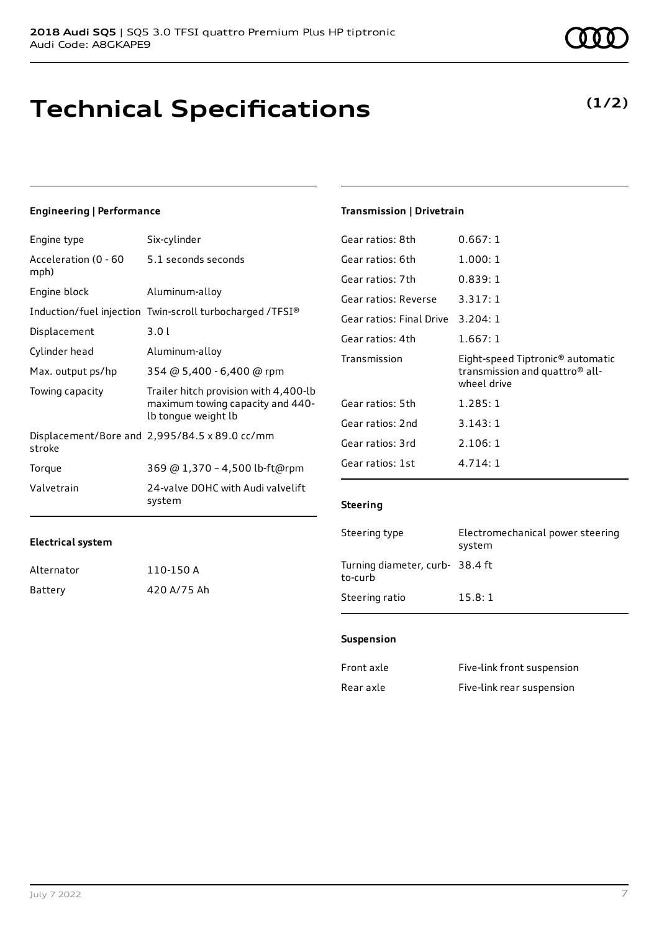## **Technical Specifications**

## **Engineering | Performance**

| Engine type                  | Six-cylinder                                                                                     |
|------------------------------|--------------------------------------------------------------------------------------------------|
| Acceleration (0 - 60<br>mph) | 5.1 seconds seconds                                                                              |
| Engine block                 | Aluminum-alloy                                                                                   |
|                              | Induction/fuel injection Twin-scroll turbocharged /TFSI®                                         |
| Displacement                 | 3.01                                                                                             |
| Cylinder head                | Aluminum-alloy                                                                                   |
| Max. output ps/hp            | 354 @ 5,400 - 6,400 @ rpm                                                                        |
| Towing capacity              | Trailer hitch provision with 4,400-lb<br>maximum towing capacity and 440-<br>lb tongue weight lb |
| stroke                       | Displacement/Bore and 2,995/84.5 x 89.0 cc/mm                                                    |
| Torque                       | 369 @ 1,370 - 4,500 lb-ft@rpm                                                                    |
| Valvetrain                   | 24-valve DOHC with Audi valvelift<br>system                                                      |

## Alternator 110-150 A

**Electrical system**

| Battery | 420 A/75 Ah |
|---------|-------------|

## July 7 2022 7

## **Transmission | Drivetrain**

| Gear ratios: 8th         | 0.667:1                                                                                       |
|--------------------------|-----------------------------------------------------------------------------------------------|
| Gear ratios: 6th         | 1.000:1                                                                                       |
| Gear ratios: 7th         | 0.839:1                                                                                       |
| Gear ratios: Reverse     | 3.317:1                                                                                       |
| Gear ratios: Final Drive | 3.204:1                                                                                       |
| Gear ratios: 4th         | 1.667:1                                                                                       |
|                          |                                                                                               |
| Transmission             | Eight-speed Tiptronic <sup>®</sup> automatic<br>transmission and quattro® all-<br>wheel drive |
| Gear ratios: 5th         | 1.285:1                                                                                       |
| Gear ratios: 2nd         | 3.143:1                                                                                       |
| Gear ratios: 3rd         | 2.106:1                                                                                       |

### **Steering**

| Steering type                             | Electromechanical power steering<br>system |
|-------------------------------------------|--------------------------------------------|
| Turning diameter, curb-38.4 ft<br>to-curb |                                            |
| Steering ratio                            | 15.8:1                                     |

#### **Suspension**

| Front axle | Five-link front suspension |
|------------|----------------------------|
| Rear axle  | Five-link rear suspension  |

## **(1/2)**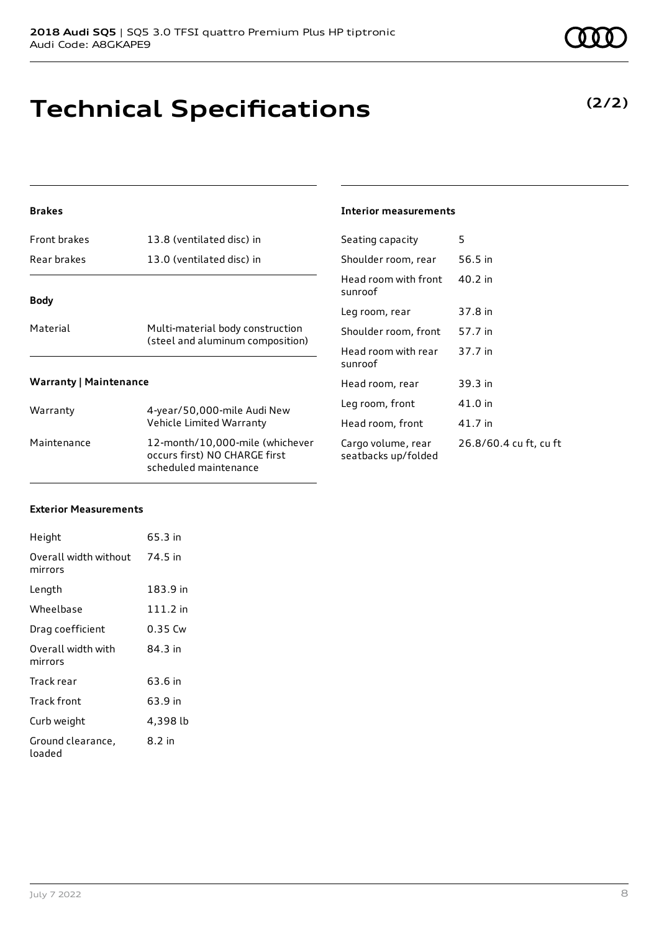# **Technical Specifications**

## **Brakes**

| Front brakes                  | 13.8 (ventilated disc) in                                            |  |  |  |  |
|-------------------------------|----------------------------------------------------------------------|--|--|--|--|
| Rear brakes                   | 13.0 (ventilated disc) in                                            |  |  |  |  |
| <b>Body</b>                   |                                                                      |  |  |  |  |
| Material                      | Multi-material body construction<br>(steel and aluminum composition) |  |  |  |  |
| <b>Warranty   Maintenance</b> |                                                                      |  |  |  |  |
| Warranty                      | 4-year/50,000-mile Audi New<br>Vehicle Limited Warranty              |  |  |  |  |
| Maintenance                   | 12-month/10,000-mile (whichever                                      |  |  |  |  |

occurs first) NO CHARGE first scheduled maintenance

### **Interior measurements**

| Seating capacity                          | 5                      |
|-------------------------------------------|------------------------|
| Shoulder room, rear                       | 56.5 in                |
| Head room with front<br>sunroof           | $40.2$ in              |
| Leg room, rear                            | 37.8 in                |
| Shoulder room, front                      | 57.7 in                |
| Head room with rear<br>sunroof            | 37.7 in                |
| Head room, rear                           | 39.3 in                |
| Leg room, front                           | 41.0 in                |
| Head room, front                          | 41.7 in                |
| Cargo volume, rear<br>seatbacks up/folded | 26.8/60.4 cu ft, cu ft |
|                                           |                        |

### **Exterior Measurements**

| Height                           | 65.3 in  |
|----------------------------------|----------|
| Overall width without<br>mirrors | 74.5 in  |
| Length                           | 183.9 in |
| Wheelbase                        | 111.2 in |
| Drag coefficient                 | 0.35 Cw  |
| Overall width with<br>mirrors    | 84.3 in  |
| Track rear                       | 63.6 in  |
| Track front                      | 63.9 in  |
| Curb weight                      | 4,398 lb |
| Ground clearance,<br>loaded      | 8.2 in   |

**(2/2)**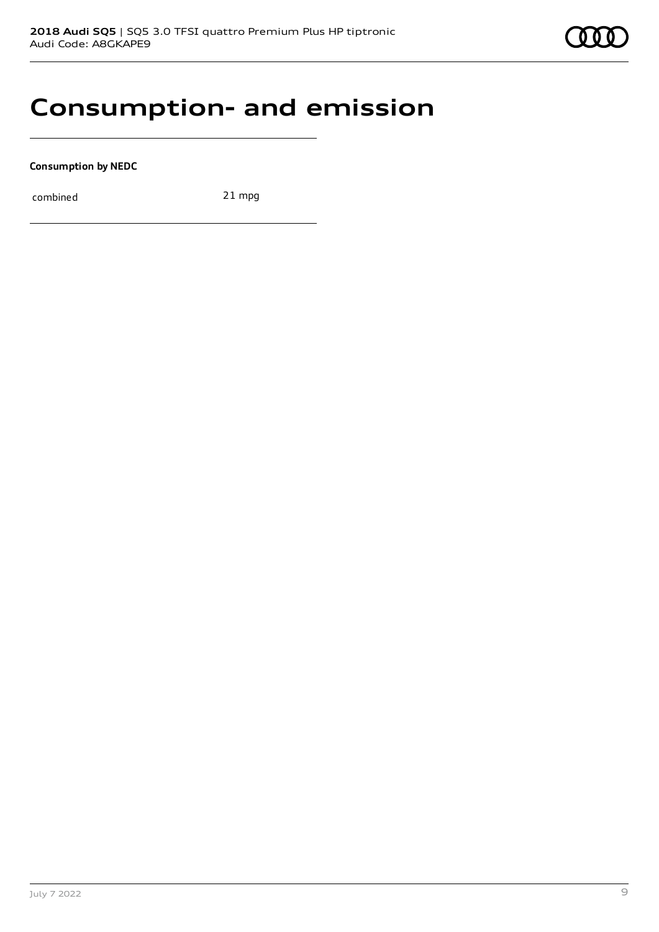

## **Consumption- and emission**

**Consumption by NEDC**

combined 21 mpg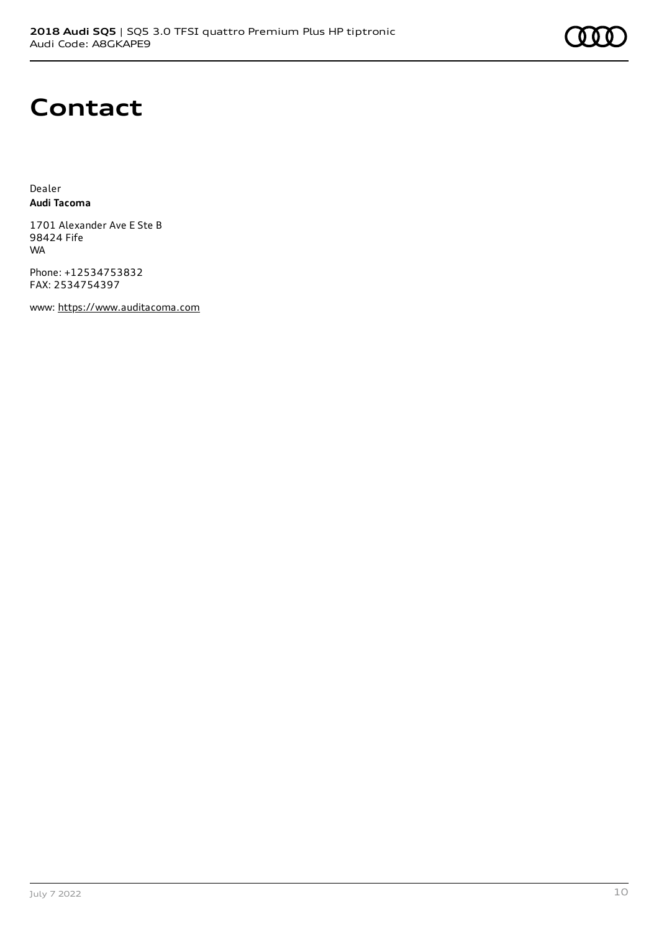## **Contact**

Dealer **Audi Tacoma**

1701 Alexander Ave E Ste B 98424 Fife WA

Phone: +12534753832 FAX: 2534754397

www: [https://www.auditacoma.com](https://www.auditacoma.com/)